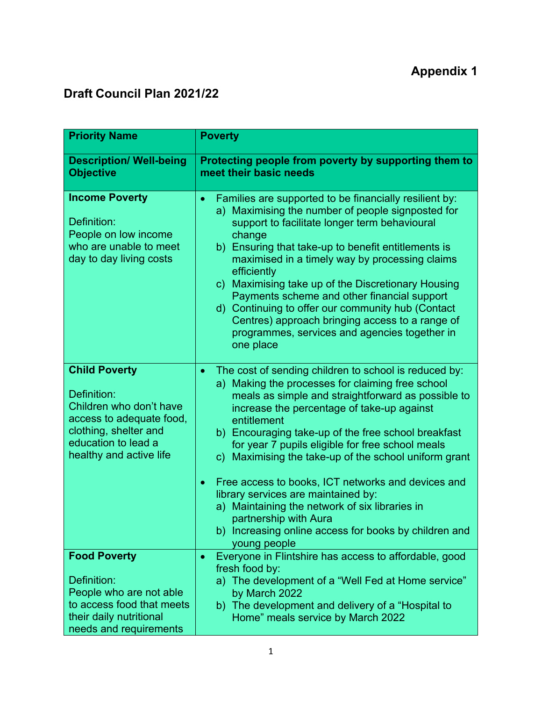## **Draft Council Plan 2021/22**

| <b>Poverty</b>                                                                                                                                                                                                                                                                                                                                                                                                                                                                                                                                                                                                                                                              |
|-----------------------------------------------------------------------------------------------------------------------------------------------------------------------------------------------------------------------------------------------------------------------------------------------------------------------------------------------------------------------------------------------------------------------------------------------------------------------------------------------------------------------------------------------------------------------------------------------------------------------------------------------------------------------------|
| Protecting people from poverty by supporting them to<br>meet their basic needs                                                                                                                                                                                                                                                                                                                                                                                                                                                                                                                                                                                              |
| Families are supported to be financially resilient by:<br>$\bullet$<br>a) Maximising the number of people signposted for<br>support to facilitate longer term behavioural<br>change<br>b) Ensuring that take-up to benefit entitlements is<br>maximised in a timely way by processing claims<br>efficiently<br>c) Maximising take up of the Discretionary Housing<br>Payments scheme and other financial support<br>d) Continuing to offer our community hub (Contact<br>Centres) approach bringing access to a range of<br>programmes, services and agencies together in<br>one place                                                                                      |
| The cost of sending children to school is reduced by:<br>$\bullet$<br>a) Making the processes for claiming free school<br>meals as simple and straightforward as possible to<br>increase the percentage of take-up against<br>entitlement<br>b) Encouraging take-up of the free school breakfast<br>for year 7 pupils eligible for free school meals<br>c) Maximising the take-up of the school uniform grant<br>Free access to books, ICT networks and devices and<br>$\bullet$<br>library services are maintained by:<br>a) Maintaining the network of six libraries in<br>partnership with Aura<br>b) Increasing online access for books by children and<br>young people |
| Everyone in Flintshire has access to affordable, good<br>$\bullet$<br>fresh food by:<br>a) The development of a "Well Fed at Home service"<br>by March 2022<br>b) The development and delivery of a "Hospital to<br>Home" meals service by March 2022                                                                                                                                                                                                                                                                                                                                                                                                                       |
|                                                                                                                                                                                                                                                                                                                                                                                                                                                                                                                                                                                                                                                                             |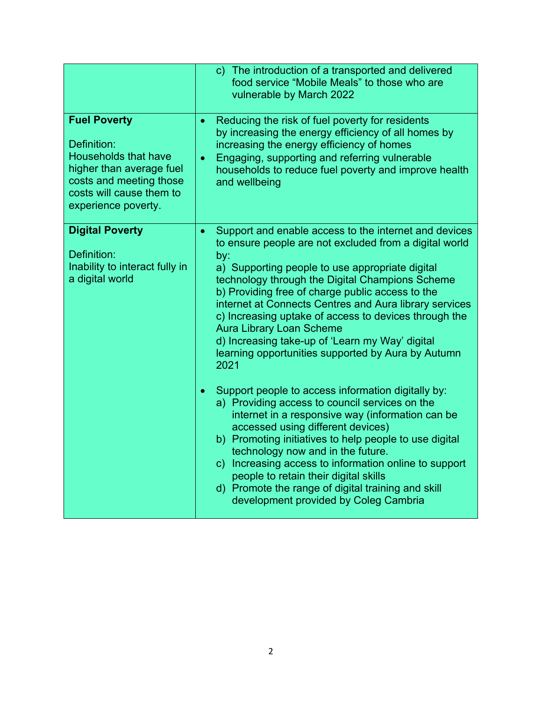|                                                                                                                                                                             | c) The introduction of a transported and delivered<br>food service "Mobile Meals" to those who are<br>vulnerable by March 2022                                                                                                                                                                                                                                                                                                                                                                                                                                       |
|-----------------------------------------------------------------------------------------------------------------------------------------------------------------------------|----------------------------------------------------------------------------------------------------------------------------------------------------------------------------------------------------------------------------------------------------------------------------------------------------------------------------------------------------------------------------------------------------------------------------------------------------------------------------------------------------------------------------------------------------------------------|
| <b>Fuel Poverty</b><br>Definition:<br><b>Households that have</b><br>higher than average fuel<br>costs and meeting those<br>costs will cause them to<br>experience poverty. | Reducing the risk of fuel poverty for residents<br>$\bullet$<br>by increasing the energy efficiency of all homes by<br>increasing the energy efficiency of homes<br>Engaging, supporting and referring vulnerable<br>$\bullet$<br>households to reduce fuel poverty and improve health<br>and wellbeing                                                                                                                                                                                                                                                              |
| <b>Digital Poverty</b><br>Definition:<br>Inability to interact fully in<br>a digital world                                                                                  | Support and enable access to the internet and devices<br>$\bullet$<br>to ensure people are not excluded from a digital world<br>by:<br>a) Supporting people to use appropriate digital<br>technology through the Digital Champions Scheme<br>b) Providing free of charge public access to the<br>internet at Connects Centres and Aura library services<br>c) Increasing uptake of access to devices through the<br><b>Aura Library Loan Scheme</b><br>d) Increasing take-up of 'Learn my Way' digital<br>learning opportunities supported by Aura by Autumn<br>2021 |
|                                                                                                                                                                             | Support people to access information digitally by:<br>$\bullet$<br>a) Providing access to council services on the<br>internet in a responsive way (information can be<br>accessed using different devices)<br>b) Promoting initiatives to help people to use digital<br>technology now and in the future.<br>c) Increasing access to information online to support<br>people to retain their digital skills<br>d) Promote the range of digital training and skill<br>development provided by Coleg Cambria                                                           |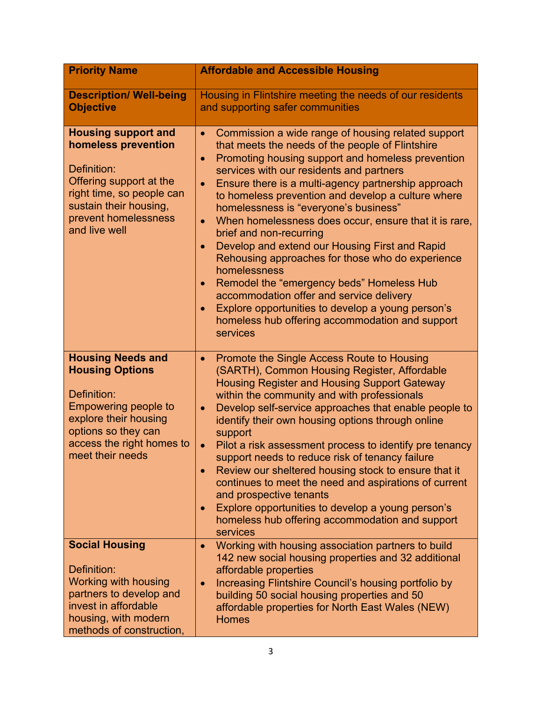| <b>Priority Name</b>                                                                                                                                                                              | <b>Affordable and Accessible Housing</b>                                                                                                                                                                                                                                                                                                                                                                                                                                                                                                                                                                                                                                                                                                                                                                                                                                        |
|---------------------------------------------------------------------------------------------------------------------------------------------------------------------------------------------------|---------------------------------------------------------------------------------------------------------------------------------------------------------------------------------------------------------------------------------------------------------------------------------------------------------------------------------------------------------------------------------------------------------------------------------------------------------------------------------------------------------------------------------------------------------------------------------------------------------------------------------------------------------------------------------------------------------------------------------------------------------------------------------------------------------------------------------------------------------------------------------|
| <b>Description/ Well-being</b><br><b>Objective</b>                                                                                                                                                | Housing in Flintshire meeting the needs of our residents<br>and supporting safer communities                                                                                                                                                                                                                                                                                                                                                                                                                                                                                                                                                                                                                                                                                                                                                                                    |
| <b>Housing support and</b><br>homeless prevention<br>Definition:<br>Offering support at the<br>right time, so people can<br>sustain their housing,<br>prevent homelessness<br>and live well       | Commission a wide range of housing related support<br>$\bullet$<br>that meets the needs of the people of Flintshire<br>Promoting housing support and homeless prevention<br>$\bullet$<br>services with our residents and partners<br>Ensure there is a multi-agency partnership approach<br>$\bullet$<br>to homeless prevention and develop a culture where<br>homelessness is "everyone's business"<br>When homelessness does occur, ensure that it is rare,<br>$\bullet$<br>brief and non-recurring<br>Develop and extend our Housing First and Rapid<br>$\bullet$<br>Rehousing approaches for those who do experience<br>homelessness<br>Remodel the "emergency beds" Homeless Hub<br>$\bullet$<br>accommodation offer and service delivery<br>Explore opportunities to develop a young person's<br>$\bullet$<br>homeless hub offering accommodation and support<br>services |
| <b>Housing Needs and</b><br><b>Housing Options</b><br>Definition:<br><b>Empowering people to</b><br>explore their housing<br>options so they can<br>access the right homes to<br>meet their needs | Promote the Single Access Route to Housing<br>$\bullet$<br>(SARTH), Common Housing Register, Affordable<br>Housing Register and Housing Support Gateway<br>within the community and with professionals<br>Develop self-service approaches that enable people to<br>$\bullet$<br>identify their own housing options through online<br>support<br>Pilot a risk assessment process to identify pre tenancy<br>$\bullet$<br>support needs to reduce risk of tenancy failure<br>Review our sheltered housing stock to ensure that it<br>$\bullet$<br>continues to meet the need and aspirations of current<br>and prospective tenants<br>Explore opportunities to develop a young person's<br>homeless hub offering accommodation and support<br>services                                                                                                                            |
| <b>Social Housing</b><br>Definition:<br><b>Working with housing</b><br>partners to develop and<br>invest in affordable<br>housing, with modern<br>methods of construction,                        | Working with housing association partners to build<br>$\bullet$<br>142 new social housing properties and 32 additional<br>affordable properties<br>Increasing Flintshire Council's housing portfolio by<br>$\bullet$<br>building 50 social housing properties and 50<br>affordable properties for North East Wales (NEW)<br><b>Homes</b>                                                                                                                                                                                                                                                                                                                                                                                                                                                                                                                                        |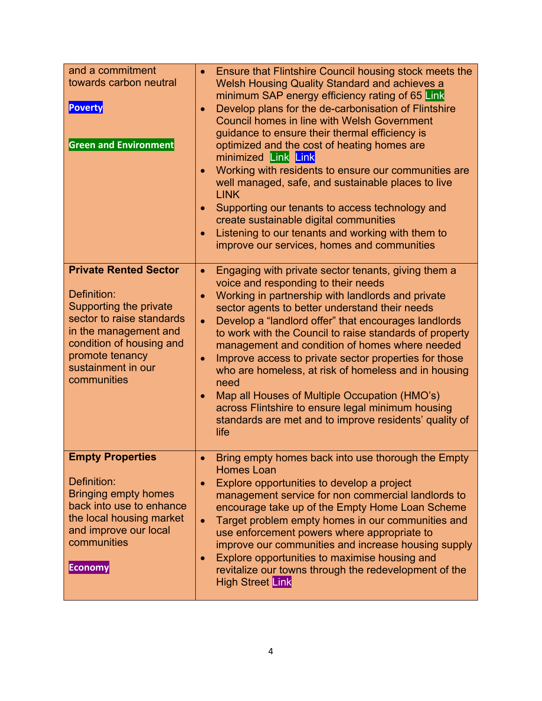| and a commitment<br>towards carbon neutral<br><b>Poverty</b><br><b>Green and Environment</b>                                                                                                                    | Ensure that Flintshire Council housing stock meets the<br><b>Welsh Housing Quality Standard and achieves a</b><br>minimum SAP energy efficiency rating of 65 Link<br>Develop plans for the de-carbonisation of Flintshire<br>$\bullet$<br><b>Council homes in line with Welsh Government</b><br>guidance to ensure their thermal efficiency is<br>optimized and the cost of heating homes are<br>minimized Link Link<br>Working with residents to ensure our communities are<br>$\bullet$<br>well managed, safe, and sustainable places to live<br><b>LINK</b><br>Supporting our tenants to access technology and<br>$\bullet$<br>create sustainable digital communities<br>Listening to our tenants and working with them to<br>$\bullet$<br>improve our services, homes and communities |
|-----------------------------------------------------------------------------------------------------------------------------------------------------------------------------------------------------------------|-------------------------------------------------------------------------------------------------------------------------------------------------------------------------------------------------------------------------------------------------------------------------------------------------------------------------------------------------------------------------------------------------------------------------------------------------------------------------------------------------------------------------------------------------------------------------------------------------------------------------------------------------------------------------------------------------------------------------------------------------------------------------------------------|
| <b>Private Rented Sector</b><br>Definition:<br>Supporting the private<br>sector to raise standards<br>in the management and<br>condition of housing and<br>promote tenancy<br>sustainment in our<br>communities | Engaging with private sector tenants, giving them a<br>$\bullet$<br>voice and responding to their needs<br>Working in partnership with landlords and private<br>sector agents to better understand their needs<br>Develop a "landlord offer" that encourages landlords<br>$\bullet$<br>to work with the Council to raise standards of property<br>management and condition of homes where needed<br>Improve access to private sector properties for those<br>$\bullet$<br>who are homeless, at risk of homeless and in housing<br>need<br>Map all Houses of Multiple Occupation (HMO's)<br>$\bullet$<br>across Flintshire to ensure legal minimum housing<br>standards are met and to improve residents' quality of<br>life                                                               |
| <b>Empty Properties</b><br>Definition:<br><b>Bringing empty homes</b><br>back into use to enhance<br>the local housing market<br>and improve our local<br>communities<br><b>Economy</b>                         | Bring empty homes back into use thorough the Empty<br><b>Homes Loan</b><br>Explore opportunities to develop a project<br>$\bullet$<br>management service for non commercial landlords to<br>encourage take up of the Empty Home Loan Scheme<br>Target problem empty homes in our communities and<br>$\bullet$<br>use enforcement powers where appropriate to<br>improve our communities and increase housing supply<br>Explore opportunities to maximise housing and<br>$\bullet$<br>revitalize our towns through the redevelopment of the<br><b>High Street Link</b>                                                                                                                                                                                                                     |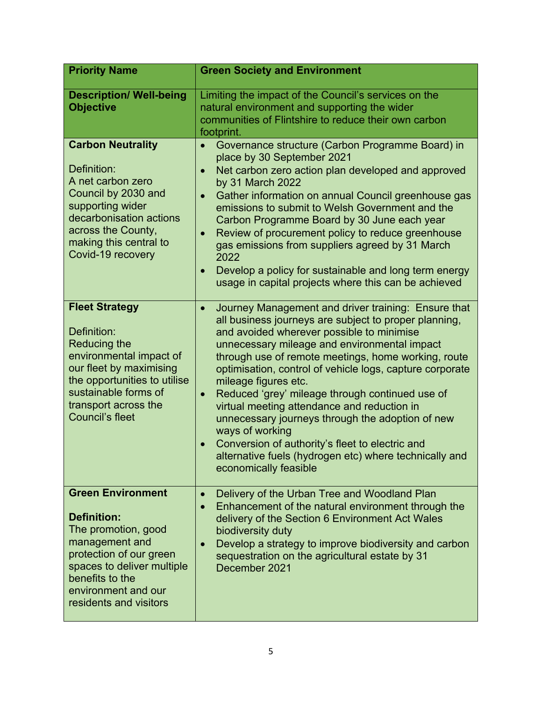| <b>Priority Name</b>                                                                                                                                                                                                        | <b>Green Society and Environment</b>                                                                                                                                                                                                                                                                                                                                                                                                                                                                                                                                                                                                                                                          |
|-----------------------------------------------------------------------------------------------------------------------------------------------------------------------------------------------------------------------------|-----------------------------------------------------------------------------------------------------------------------------------------------------------------------------------------------------------------------------------------------------------------------------------------------------------------------------------------------------------------------------------------------------------------------------------------------------------------------------------------------------------------------------------------------------------------------------------------------------------------------------------------------------------------------------------------------|
| <b>Description/ Well-being</b><br><b>Objective</b>                                                                                                                                                                          | Limiting the impact of the Council's services on the<br>natural environment and supporting the wider<br>communities of Flintshire to reduce their own carbon<br>footprint.                                                                                                                                                                                                                                                                                                                                                                                                                                                                                                                    |
| <b>Carbon Neutrality</b><br>Definition:<br>A net carbon zero<br>Council by 2030 and<br>supporting wider<br>decarbonisation actions<br>across the County,<br>making this central to<br>Covid-19 recovery                     | Governance structure (Carbon Programme Board) in<br>$\bullet$<br>place by 30 September 2021<br>Net carbon zero action plan developed and approved<br>$\bullet$<br>by 31 March 2022<br>Gather information on annual Council greenhouse gas<br>$\bullet$<br>emissions to submit to Welsh Government and the<br>Carbon Programme Board by 30 June each year<br>Review of procurement policy to reduce greenhouse<br>gas emissions from suppliers agreed by 31 March<br>2022<br>Develop a policy for sustainable and long term energy<br>$\bullet$<br>usage in capital projects where this can be achieved                                                                                        |
| <b>Fleet Strategy</b><br>Definition:<br><b>Reducing the</b><br>environmental impact of<br>our fleet by maximising<br>the opportunities to utilise<br>sustainable forms of<br>transport across the<br><b>Council's fleet</b> | Journey Management and driver training: Ensure that<br>$\bullet$<br>all business journeys are subject to proper planning,<br>and avoided wherever possible to minimise<br>unnecessary mileage and environmental impact<br>through use of remote meetings, home working, route<br>optimisation, control of vehicle logs, capture corporate<br>mileage figures etc.<br>Reduced 'grey' mileage through continued use of<br>$\bullet$<br>virtual meeting attendance and reduction in<br>unnecessary journeys through the adoption of new<br>ways of working<br>Conversion of authority's fleet to electric and<br>alternative fuels (hydrogen etc) where technically and<br>economically feasible |
| <b>Green Environment</b><br><b>Definition:</b><br>The promotion, good<br>management and<br>protection of our green<br>spaces to deliver multiple<br>benefits to the<br>environment and our<br>residents and visitors        | Delivery of the Urban Tree and Woodland Plan<br>$\bullet$<br>Enhancement of the natural environment through the<br>$\bullet$<br>delivery of the Section 6 Environment Act Wales<br>biodiversity duty<br>Develop a strategy to improve biodiversity and carbon<br>$\bullet$<br>sequestration on the agricultural estate by 31<br>December 2021                                                                                                                                                                                                                                                                                                                                                 |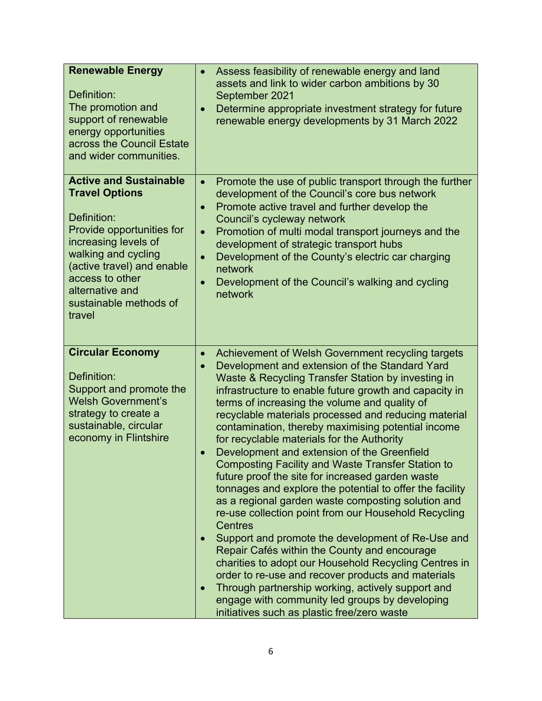| <b>Renewable Energy</b><br>Definition:<br>The promotion and<br>support of renewable<br>energy opportunities<br>across the Council Estate<br>and wider communities.                                                                                        | Assess feasibility of renewable energy and land<br>$\bullet$<br>assets and link to wider carbon ambitions by 30<br>September 2021<br>Determine appropriate investment strategy for future<br>$\bullet$<br>renewable energy developments by 31 March 2022                                                                                                                                                                                                                                                                                                                                                                                                                                                                                                                                                                                                                                                                                                                                                                                                                                                                                                                                                     |
|-----------------------------------------------------------------------------------------------------------------------------------------------------------------------------------------------------------------------------------------------------------|--------------------------------------------------------------------------------------------------------------------------------------------------------------------------------------------------------------------------------------------------------------------------------------------------------------------------------------------------------------------------------------------------------------------------------------------------------------------------------------------------------------------------------------------------------------------------------------------------------------------------------------------------------------------------------------------------------------------------------------------------------------------------------------------------------------------------------------------------------------------------------------------------------------------------------------------------------------------------------------------------------------------------------------------------------------------------------------------------------------------------------------------------------------------------------------------------------------|
| <b>Active and Sustainable</b><br><b>Travel Options</b><br>Definition:<br>Provide opportunities for<br>increasing levels of<br>walking and cycling<br>(active travel) and enable<br>access to other<br>alternative and<br>sustainable methods of<br>travel | Promote the use of public transport through the further<br>$\bullet$<br>development of the Council's core bus network<br>Promote active travel and further develop the<br>Council's cycleway network<br>Promotion of multi modal transport journeys and the<br>$\bullet$<br>development of strategic transport hubs<br>Development of the County's electric car charging<br>$\bullet$<br>network<br>Development of the Council's walking and cycling<br>$\bullet$<br>network                                                                                                                                                                                                                                                                                                                                                                                                                                                                                                                                                                                                                                                                                                                                 |
| <b>Circular Economy</b><br>Definition:<br>Support and promote the<br><b>Welsh Government's</b><br>strategy to create a<br>sustainable, circular<br>economy in Flintshire                                                                                  | Achievement of Welsh Government recycling targets<br>$\bullet$<br>Development and extension of the Standard Yard<br>Waste & Recycling Transfer Station by investing in<br>infrastructure to enable future growth and capacity in<br>terms of increasing the volume and quality of<br>recyclable materials processed and reducing material<br>contamination, thereby maximising potential income<br>for recyclable materials for the Authority<br>Development and extension of the Greenfield<br>$\bullet$<br><b>Composting Facility and Waste Transfer Station to</b><br>future proof the site for increased garden waste<br>tonnages and explore the potential to offer the facility<br>as a regional garden waste composting solution and<br>re-use collection point from our Household Recycling<br><b>Centres</b><br>Support and promote the development of Re-Use and<br>Repair Cafés within the County and encourage<br>charities to adopt our Household Recycling Centres in<br>order to re-use and recover products and materials<br>Through partnership working, actively support and<br>$\bullet$<br>engage with community led groups by developing<br>initiatives such as plastic free/zero waste |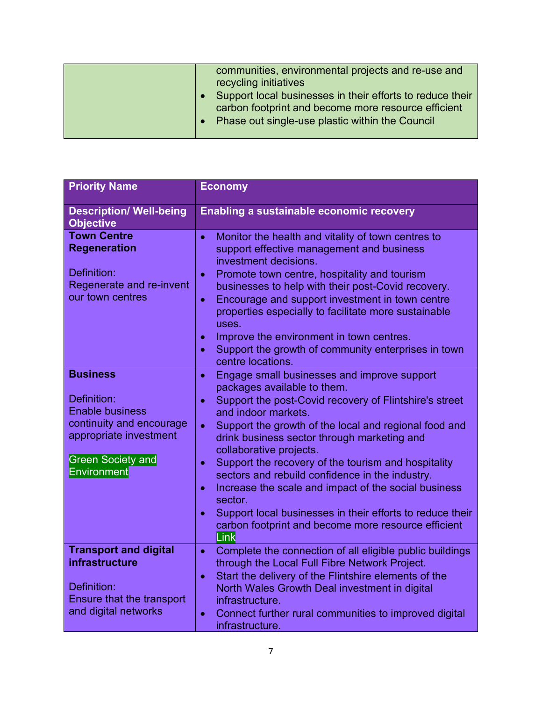| <b>Priority Name</b>                                                                                                                                             | <b>Economy</b>                                                                                                                                                                                                                                                                                                                                                                                                                                                                                                                                                                                                                                                                                             |
|------------------------------------------------------------------------------------------------------------------------------------------------------------------|------------------------------------------------------------------------------------------------------------------------------------------------------------------------------------------------------------------------------------------------------------------------------------------------------------------------------------------------------------------------------------------------------------------------------------------------------------------------------------------------------------------------------------------------------------------------------------------------------------------------------------------------------------------------------------------------------------|
| <b>Description/ Well-being</b><br><b>Objective</b>                                                                                                               | <b>Enabling a sustainable economic recovery</b>                                                                                                                                                                                                                                                                                                                                                                                                                                                                                                                                                                                                                                                            |
| <b>Town Centre</b><br><b>Regeneration</b><br>Definition:<br>Regenerate and re-invent<br>our town centres                                                         | Monitor the health and vitality of town centres to<br>$\bullet$<br>support effective management and business<br>investment decisions.<br>Promote town centre, hospitality and tourism<br>$\bullet$<br>businesses to help with their post-Covid recovery.<br>Encourage and support investment in town centre<br>$\bullet$<br>properties especially to facilitate more sustainable<br>uses.<br>Improve the environment in town centres.<br>$\bullet$<br>Support the growth of community enterprises in town<br>$\bullet$                                                                                                                                                                                     |
| <b>Business</b><br>Definition:<br><b>Enable business</b><br>continuity and encourage<br>appropriate investment<br><b>Green Society and</b><br><b>Environment</b> | centre locations.<br>Engage small businesses and improve support<br>$\bullet$<br>packages available to them.<br>Support the post-Covid recovery of Flintshire's street<br>$\bullet$<br>and indoor markets.<br>Support the growth of the local and regional food and<br>$\bullet$<br>drink business sector through marketing and<br>collaborative projects.<br>Support the recovery of the tourism and hospitality<br>$\bullet$<br>sectors and rebuild confidence in the industry.<br>Increase the scale and impact of the social business<br>$\bullet$<br>sector.<br>Support local businesses in their efforts to reduce their<br>$\bullet$<br>carbon footprint and become more resource efficient<br>Link |
| <b>Transport and digital</b><br><b>infrastructure</b><br>Definition:<br><b>Ensure that the transport</b><br>and digital networks                                 | Complete the connection of all eligible public buildings<br>$\bullet$<br>through the Local Full Fibre Network Project.<br>Start the delivery of the Flintshire elements of the<br>$\bullet$<br>North Wales Growth Deal investment in digital<br>infrastructure.<br>Connect further rural communities to improved digital<br>$\bullet$<br>infrastructure.                                                                                                                                                                                                                                                                                                                                                   |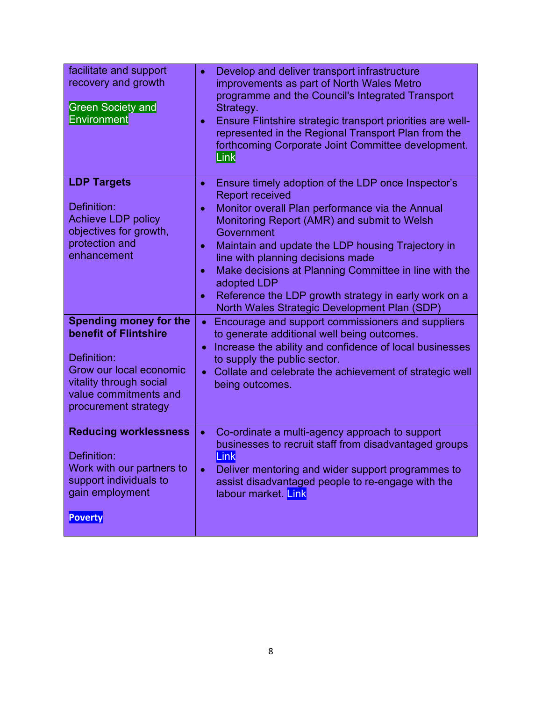| facilitate and support<br>recovery and growth<br><b>Green Society and</b><br>Environment                                                                                     | Develop and deliver transport infrastructure<br>$\bullet$<br>improvements as part of North Wales Metro<br>programme and the Council's Integrated Transport<br>Strategy.<br>Ensure Flintshire strategic transport priorities are well-<br>$\bullet$<br>represented in the Regional Transport Plan from the<br>forthcoming Corporate Joint Committee development.<br>Link                                                                                                                                                                 |
|------------------------------------------------------------------------------------------------------------------------------------------------------------------------------|-----------------------------------------------------------------------------------------------------------------------------------------------------------------------------------------------------------------------------------------------------------------------------------------------------------------------------------------------------------------------------------------------------------------------------------------------------------------------------------------------------------------------------------------|
| <b>LDP Targets</b><br>Definition:<br><b>Achieve LDP policy</b><br>objectives for growth,<br>protection and<br>enhancement                                                    | Ensure timely adoption of the LDP once Inspector's<br>$\bullet$<br><b>Report received</b><br>Monitor overall Plan performance via the Annual<br>$\bullet$<br>Monitoring Report (AMR) and submit to Welsh<br>Government<br>Maintain and update the LDP housing Trajectory in<br>$\bullet$<br>line with planning decisions made<br>Make decisions at Planning Committee in line with the<br>$\bullet$<br>adopted LDP<br>Reference the LDP growth strategy in early work on a<br>$\bullet$<br>North Wales Strategic Development Plan (SDP) |
| <b>Spending money for the</b><br>benefit of Flintshire<br>Definition:<br>Grow our local economic<br>vitality through social<br>value commitments and<br>procurement strategy | Encourage and support commissioners and suppliers<br>$\bullet$<br>to generate additional well being outcomes.<br>Increase the ability and confidence of local businesses<br>$\bullet$<br>to supply the public sector.<br>Collate and celebrate the achievement of strategic well<br>$\bullet$<br>being outcomes.                                                                                                                                                                                                                        |
| <b>Reducing worklessness</b><br>Definition:<br>Work with our partners to<br>support individuals to<br>gain employment<br><b>Poverty</b>                                      | Co-ordinate a multi-agency approach to support<br>$\bullet$<br>businesses to recruit staff from disadvantaged groups<br>Link<br>Deliver mentoring and wider support programmes to<br>$\bullet$<br>assist disadvantaged people to re-engage with the<br>labour market. Link                                                                                                                                                                                                                                                              |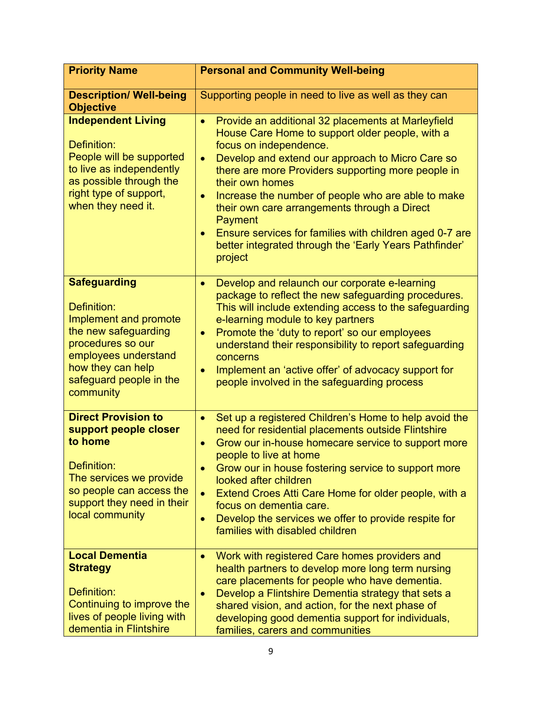| <b>Priority Name</b>                                                                                                                                                                          | <b>Personal and Community Well-being</b>                                                                                                                                                                                                                                                                                                                                                                                                                                                                                                                                 |
|-----------------------------------------------------------------------------------------------------------------------------------------------------------------------------------------------|--------------------------------------------------------------------------------------------------------------------------------------------------------------------------------------------------------------------------------------------------------------------------------------------------------------------------------------------------------------------------------------------------------------------------------------------------------------------------------------------------------------------------------------------------------------------------|
| <b>Description/ Well-being</b><br><b>Objective</b>                                                                                                                                            | Supporting people in need to live as well as they can                                                                                                                                                                                                                                                                                                                                                                                                                                                                                                                    |
| <b>Independent Living</b><br>Definition:<br>People will be supported<br>to live as independently<br>as possible through the<br>right type of support,<br>when they need it.                   | Provide an additional 32 placements at Marleyfield<br>$\bullet$<br>House Care Home to support older people, with a<br>focus on independence.<br>Develop and extend our approach to Micro Care so<br>$\bullet$<br>there are more Providers supporting more people in<br>their own homes<br>Increase the number of people who are able to make<br>$\bullet$<br>their own care arrangements through a Direct<br><b>Payment</b><br>Ensure services for families with children aged 0-7 are<br>$\bullet$<br>better integrated through the 'Early Years Pathfinder'<br>project |
| <b>Safeguarding</b><br>Definition:<br>Implement and promote<br>the new safeguarding<br>procedures so our<br>employees understand<br>how they can help<br>safeguard people in the<br>community | Develop and relaunch our corporate e-learning<br>$\bullet$<br>package to reflect the new safeguarding procedures.<br>This will include extending access to the safeguarding<br>e-learning module to key partners<br>Promote the 'duty to report' so our employees<br>$\bullet$<br>understand their responsibility to report safeguarding<br>concerns<br>Implement an 'active offer' of advocacy support for<br>people involved in the safeguarding process                                                                                                               |
| <b>Direct Provision to</b><br>support people closer<br>to home<br>Definition:<br>The services we provide<br>so people can access the<br>support they need in their<br>local community         | Set up a registered Children's Home to help avoid the<br>$\bullet$<br>need for residential placements outside Flintshire<br>Grow our in-house homecare service to support more<br>$\bullet$<br>people to live at home<br>Grow our in house fostering service to support more<br>$\bullet$<br>looked after children<br>Extend Croes Atti Care Home for older people, with a<br>$\bullet$<br>focus on dementia care.<br>Develop the services we offer to provide respite for<br>$\bullet$<br>families with disabled children                                               |
| <b>Local Dementia</b><br><b>Strategy</b><br>Definition:<br>Continuing to improve the<br>lives of people living with<br>dementia in Flintshire                                                 | Work with registered Care homes providers and<br>$\bullet$<br>health partners to develop more long term nursing<br>care placements for people who have dementia.<br>Develop a Flintshire Dementia strategy that sets a<br>$\bullet$<br>shared vision, and action, for the next phase of<br>developing good dementia support for individuals,<br>families, carers and communities                                                                                                                                                                                         |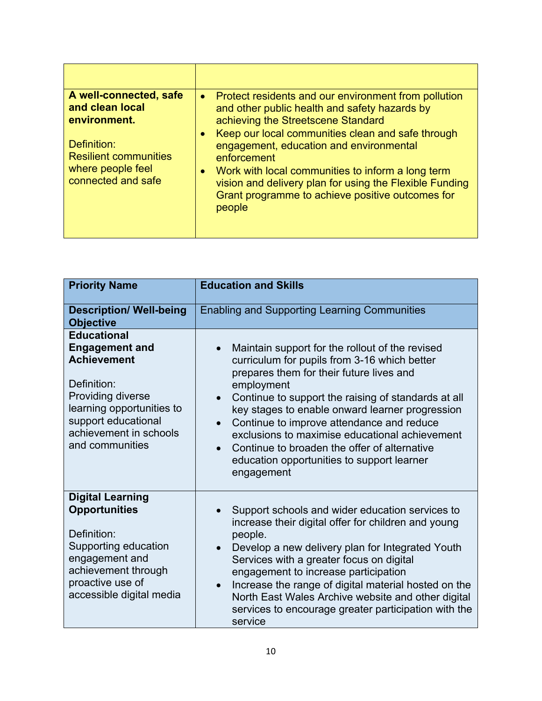| A well-connected, safe<br>and clean local<br>environment.<br>Definition:<br><b>Resilient communities</b><br>where people feel<br>connected and safe | Protect residents and our environment from pollution<br>$\bullet$<br>and other public health and safety hazards by<br>achieving the Streetscene Standard<br>Keep our local communities clean and safe through<br>engagement, education and environmental<br>enforcement<br>Work with local communities to inform a long term<br>$\bullet$<br>vision and delivery plan for using the Flexible Funding<br>Grant programme to achieve positive outcomes for<br>people |
|-----------------------------------------------------------------------------------------------------------------------------------------------------|--------------------------------------------------------------------------------------------------------------------------------------------------------------------------------------------------------------------------------------------------------------------------------------------------------------------------------------------------------------------------------------------------------------------------------------------------------------------|
|                                                                                                                                                     |                                                                                                                                                                                                                                                                                                                                                                                                                                                                    |

| <b>Priority Name</b>                                                                                                                                                                                   | <b>Education and Skills</b>                                                                                                                                                                                                                                                                                                                                                                                                                                                                                           |
|--------------------------------------------------------------------------------------------------------------------------------------------------------------------------------------------------------|-----------------------------------------------------------------------------------------------------------------------------------------------------------------------------------------------------------------------------------------------------------------------------------------------------------------------------------------------------------------------------------------------------------------------------------------------------------------------------------------------------------------------|
| <b>Description/ Well-being</b><br><b>Objective</b>                                                                                                                                                     | <b>Enabling and Supporting Learning Communities</b>                                                                                                                                                                                                                                                                                                                                                                                                                                                                   |
| <b>Educational</b><br><b>Engagement and</b><br><b>Achievement</b><br>Definition:<br>Providing diverse<br>learning opportunities to<br>support educational<br>achievement in schools<br>and communities | Maintain support for the rollout of the revised<br>$\bullet$<br>curriculum for pupils from 3-16 which better<br>prepares them for their future lives and<br>employment<br>Continue to support the raising of standards at all<br>$\bullet$<br>key stages to enable onward learner progression<br>Continue to improve attendance and reduce<br>exclusions to maximise educational achievement<br>Continue to broaden the offer of alternative<br>$\bullet$<br>education opportunities to support learner<br>engagement |
| <b>Digital Learning</b><br><b>Opportunities</b><br>Definition:<br>Supporting education<br>engagement and<br>achievement through<br>proactive use of<br>accessible digital media                        | Support schools and wider education services to<br>increase their digital offer for children and young<br>people.<br>Develop a new delivery plan for Integrated Youth<br>Services with a greater focus on digital<br>engagement to increase participation<br>Increase the range of digital material hosted on the<br>$\bullet$<br>North East Wales Archive website and other digital<br>services to encourage greater participation with the<br>service                                                               |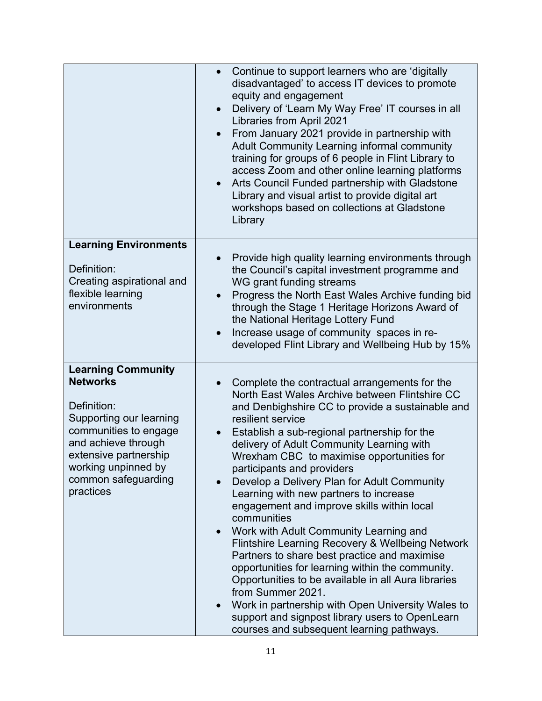|                                                                                                                                                                                                                            | Continue to support learners who are 'digitally<br>$\bullet$<br>disadvantaged' to access IT devices to promote<br>equity and engagement<br>Delivery of 'Learn My Way Free' IT courses in all<br>$\bullet$<br><b>Libraries from April 2021</b><br>From January 2021 provide in partnership with<br>$\bullet$<br>Adult Community Learning informal community<br>training for groups of 6 people in Flint Library to<br>access Zoom and other online learning platforms<br>Arts Council Funded partnership with Gladstone<br>$\bullet$<br>Library and visual artist to provide digital art<br>workshops based on collections at Gladstone<br>Library                                                                                                                                                                                                                                                                                                                                |
|----------------------------------------------------------------------------------------------------------------------------------------------------------------------------------------------------------------------------|----------------------------------------------------------------------------------------------------------------------------------------------------------------------------------------------------------------------------------------------------------------------------------------------------------------------------------------------------------------------------------------------------------------------------------------------------------------------------------------------------------------------------------------------------------------------------------------------------------------------------------------------------------------------------------------------------------------------------------------------------------------------------------------------------------------------------------------------------------------------------------------------------------------------------------------------------------------------------------|
| <b>Learning Environments</b><br>Definition:<br>Creating aspirational and<br>flexible learning<br>environments                                                                                                              | Provide high quality learning environments through<br>$\bullet$<br>the Council's capital investment programme and<br>WG grant funding streams<br>Progress the North East Wales Archive funding bid<br>$\bullet$<br>through the Stage 1 Heritage Horizons Award of<br>the National Heritage Lottery Fund<br>Increase usage of community spaces in re-<br>$\bullet$<br>developed Flint Library and Wellbeing Hub by 15%                                                                                                                                                                                                                                                                                                                                                                                                                                                                                                                                                            |
| <b>Learning Community</b><br><b>Networks</b><br>Definition:<br>Supporting our learning<br>communities to engage<br>and achieve through<br>extensive partnership<br>working unpinned by<br>common safeguarding<br>practices | Complete the contractual arrangements for the<br>$\bullet$<br>North East Wales Archive between Flintshire CC<br>and Denbighshire CC to provide a sustainable and<br>resilient service<br>Establish a sub-regional partnership for the<br>delivery of Adult Community Learning with<br>Wrexham CBC to maximise opportunities for<br>participants and providers<br>Develop a Delivery Plan for Adult Community<br>$\bullet$<br>Learning with new partners to increase<br>engagement and improve skills within local<br>communities<br>Work with Adult Community Learning and<br>$\bullet$<br>Flintshire Learning Recovery & Wellbeing Network<br>Partners to share best practice and maximise<br>opportunities for learning within the community.<br>Opportunities to be available in all Aura libraries<br>from Summer 2021.<br>Work in partnership with Open University Wales to<br>support and signpost library users to OpenLearn<br>courses and subsequent learning pathways. |